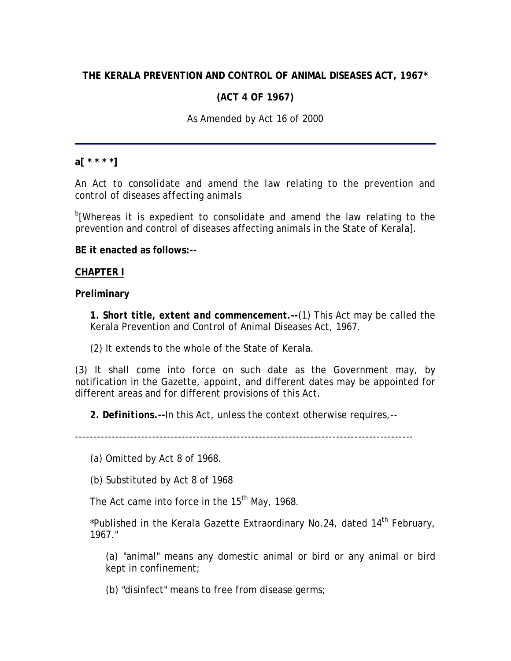# **THE KERALA PREVENTION AND CONTROL OF ANIMAL DISEASES ACT, 1967\***

## **(ACT 4 OF 1967)**

### *As Amended by Act 16 of 2000*

# **a[ \* \* \* \*]**

*An Act to consolidate and amend the law relating to the prevention and control of diseases affecting animals* 

<sup>b</sup>[Whereas it is expedient to consolidate and amend the law relating to the prevention and control of diseases affecting animals in the State of Kerala].

**BE it enacted as follows:--**

#### **CHAPTER I**

**Preliminary**

**1.** *Short title, extent and commencement***.--**(1) This Act may be called the Kerala Prevention and Control of Animal Diseases Act, 1967.

(2) It extends to the whole of the State of Kerala.

(3) It shall come into force on such date as the Government may, by notification in the Gazette, appoint, and different dates may be appointed for different areas and for different provisions of this Act.

**2.** *Definitions***.--**In this Act, unless the context otherwise requires,--

--------------------------------------------------------------------------------------------

(a) Omitted by Act 8 of 1968.

(b) Substituted by Act 8 of 1968

The Act came into force in the  $15<sup>th</sup>$  May, 1968.

\*Published in the Kerala Gazette Extraordinary No.24, dated 14<sup>th</sup> February, 1967."

(a) "animal" means any domestic animal or bird or any animal or bird kept in confinement;

(b) "disinfect" means to free from disease germs;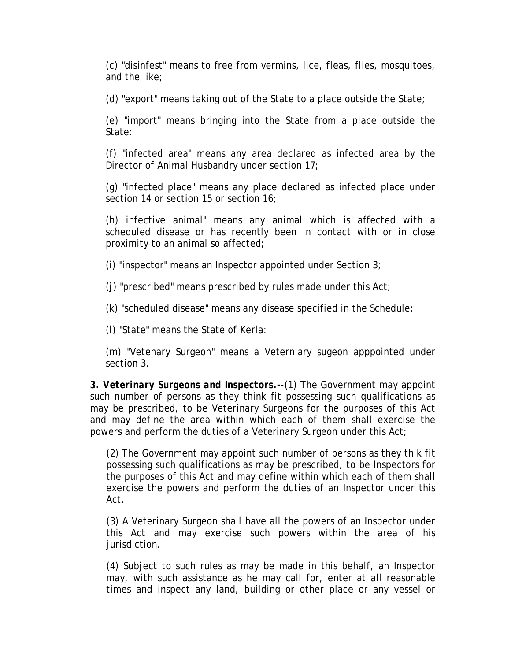(c) "disinfest" means to free from vermins, lice, fleas, flies, mosquitoes, and the like;

(d) "export" means taking out of the State to a place outside the State;

(e) "import" means bringing into the State from a place outside the State:

(f) "infected area" means any area declared as infected area by the Director of Animal Husbandry under section 17;

(g) "infected place" means any place declared as infected place under section 14 or section 15 or section 16;

(h) infective animal" means any animal which is affected with a scheduled disease or has recently been in contact with or in close proximity to an animal so affected;

(i) "inspector" means an Inspector appointed under Section 3;

(j) "prescribed" means prescribed by rules made under this Act;

(k) "scheduled disease" means any disease specified in the Schedule;

(l) "State" means the State of Kerla:

(m) "Vetenary Surgeon" means a Veterniary sugeon apppointed under section 3.

**3.** *Veterinary Surgeons and Inspectors***.-**-(1) The Government may appoint such number of persons as they think fit possessing such qualifications as may be prescribed, to be Veterinary Surgeons for the purposes of this Act and may define the area within which each of them shall exercise the powers and perform the duties of a Veterinary Surgeon under this Act;

(2) The Government may appoint such number of persons as they thik fit possessing such qualifications as may be prescribed, to be Inspectors for the purposes of this Act and may define within which each of them shall exercise the powers and perform the duties of an Inspector under this Act.

(3) A Veterinary Surgeon shall have all the powers of an Inspector under this Act and may exercise such powers within the area of his jurisdiction.

(4) Subject to such rules as may be made in this behalf, an Inspector may, with such assistance as he may call for, enter at all reasonable times and inspect any land, building or other place or any vessel or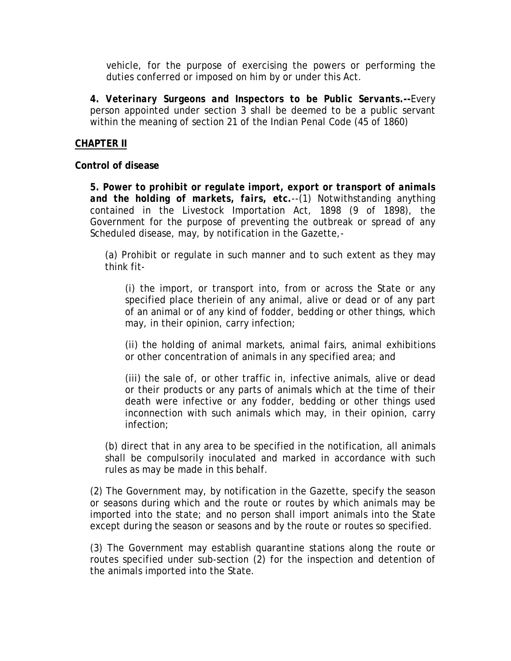vehicle, for the purpose of exercising the powers or performing the duties conferred or imposed on him by or under this Act.

**4.** *Veterinary Surgeons and Inspectors to be Public Servants***.--**Every person appointed under section 3 shall be deemed to be a public servant within the meaning of section 21 of the Indian Penal Code (45 of 1860)

## **CHAPTER II**

**Control of disease**

**5.** *Power to prohibit or regulate import, export or transport of animals and the holding of markets, fairs, etc.*--(1) Notwithstanding anything contained in the Livestock Importation Act, 1898 (9 of 1898), the Government for the purpose of preventing the outbreak or spread of any Scheduled disease, may, by notification in the Gazette,-

(a) Prohibit or regulate in such manner and to such extent as they may think fit-

(i) the import, or transport into, from or across the State or any specified place theriein of any animal, alive or dead or of any part of an animal or of any kind of fodder, bedding or other things, which may, in their opinion, carry infection;

(ii) the holding of animal markets, animal fairs, animal exhibitions or other concentration of animals in any specified area; and

(iii) the sale of, or other traffic in, infective animals, alive or dead or their products or any parts of animals which at the time of their death were infective or any fodder, bedding or other things used inconnection with such animals which may, in their opinion, carry infection;

(b) direct that in any area to be specified in the notification, all animals shall be compulsorily inoculated and marked in accordance with such rules as may be made in this behalf.

(2) The Government may, by notification in the Gazette, specify the season or seasons during which and the route or routes by which animals may be imported into the state; and no person shall import animals into the State except during the season or seasons and by the route or routes so specified.

(3) The Government may establish quarantine stations along the route or routes specified under sub-section (2) for the inspection and detention of the animals imported into the State.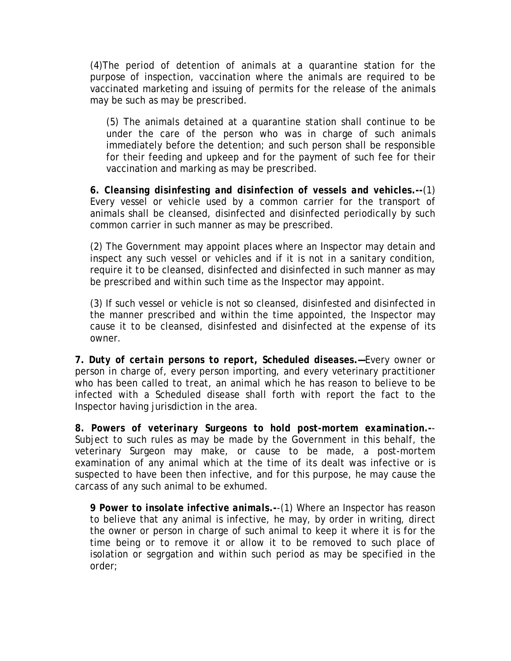(4)The period of detention of animals at a quarantine station for the purpose of inspection, vaccination where the animals are required to be vaccinated marketing and issuing of permits for the release of the animals may be such as may be prescribed.

(5) The animals detained at a quarantine station shall continue to be under the care of the person who was in charge of such animals immediately before the detention; and such person shall be responsible for their feeding and upkeep and for the payment of such fee for their vaccination and marking as may be prescribed.

**6.** *Cleansing disinfesting and disinfection of vessels and vehicles***.--**(1) Every vessel or vehicle used by a common carrier for the transport of animals shall be cleansed, disinfected and disinfected periodically by such common carrier in such manner as may be prescribed.

(2) The Government may appoint places where an Inspector may detain and inspect any such vessel or vehicles and if it is not in a sanitary condition, require it to be cleansed, disinfected and disinfected in such manner as may be prescribed and within such time as the Inspector may appoint.

(3) If such vessel or vehicle is not so cleansed, disinfested and disinfected in the manner prescribed and within the time appointed, the Inspector may cause it to be cleansed, disinfested and disinfected at the expense of its owner.

**7.** *Duty of certain persons to report, Scheduled diseases***.—**Every owner or person in charge of, every person importing, and every veterinary practitioner who has been called to treat, an animal which he has reason to believe to be infected with a Scheduled disease shall forth with report the fact to the Inspector having jurisdiction in the area.

**8***. Powers of veterinary Surgeons to hold post-mortem examination***.-**- Subject to such rules as may be made by the Government in this behalf, the veterinary Surgeon may make, or cause to be made, a post-mortem examination of any animal which at the time of its dealt was infective or is suspected to have been then infective, and for this purpose, he may cause the carcass of any such animal to be exhumed.

**9** *Power to insolate infective animals***.-**-(1) Where an Inspector has reason to believe that any animal is infective, he may, by order in writing, direct the owner or person in charge of such animal to keep it where it is for the time being or to remove it or allow it to be removed to such place of isolation or segrgation and within such period as may be specified in the order;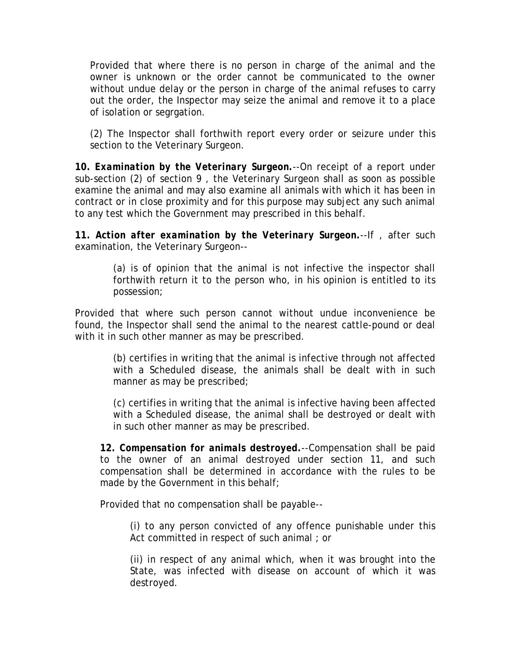Provided that where there is no person in charge of the animal and the owner is unknown or the order cannot be communicated to the owner without undue delay or the person in charge of the animal refuses to carry out the order, the Inspector may seize the animal and remove it to a place of isolation or segrgation.

(2) The Inspector shall forthwith report every order or seizure under this section to the Veterinary Surgeon.

**10.** *Examination by the Veterinary Surgeon.*--On receipt of a report under sub-section (2) of section 9 , the Veterinary Surgeon shall as soon as possible examine the animal and may also examine all animals with which it has been in contract or in close proximity and for this purpose may subject any such animal to any test which the Government may prescribed in this behalf.

**11.** *Action after examination by the Veterinary Surgeon***.**--If , after such examination, the Veterinary Surgeon--

> (a) is of opinion that the animal is not infective the inspector shall forthwith return it to the person who, in his opinion is entitled to its possession;

Provided that where such person cannot without undue inconvenience be found, the Inspector shall send the animal to the nearest cattle-pound or deal with it in such other manner as may be prescribed.

> (b) certifies in writing that the animal is infective through not affected with a Scheduled disease, the animals shall be dealt with in such manner as may be prescribed;

> (c) certifies in writing that the animal is infective having been affected with a Scheduled disease, the animal shall be destroyed or dealt with in such other manner as may be prescribed.

**12.** *Compensation for animals destroyed.*--Compensation shall be paid to the owner of an animal destroyed under section 11, and such compensation shall be determined in accordance with the rules to be made by the Government in this behalf;

Provided that no compensation shall be payable--

(i) to any person convicted of any offence punishable under this Act committed in respect of such animal ; or

(ii) in respect of any animal which, when it was brought into the State, was infected with disease on account of which it was destroyed.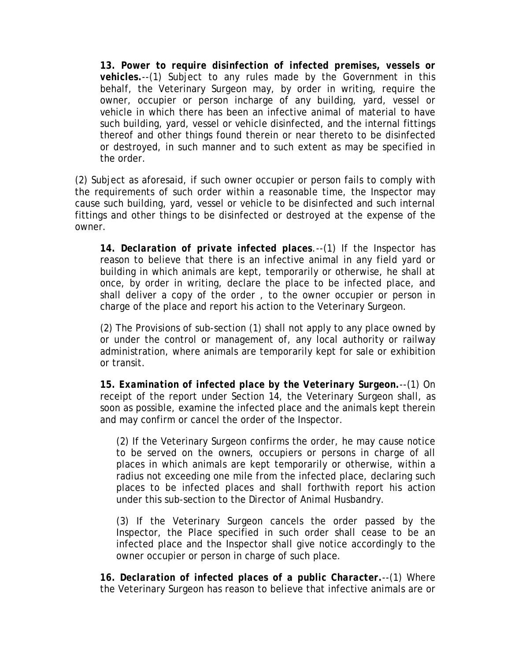**13.** *Power to require disinfection of infected premises, vessels or vehicles.--*(1) Subject to any rules made by the Government in this behalf, the Veterinary Surgeon may, by order in writing, require the owner, occupier or person incharge of any building, yard, vessel or vehicle in which there has been an infective animal of material to have such building, yard, vessel or vehicle disinfected, and the internal fittings thereof and other things found therein or near thereto to be disinfected or destroyed, in such manner and to such extent as may be specified in the order.

(2) Subject as aforesaid, if such owner occupier or person fails to comply with the requirements of such order within a reasonable time, the Inspector may cause such building, yard, vessel or vehicle to be disinfected and such internal fittings and other things to be disinfected or destroyed at the expense of the owner.

**14.** *Declaration of private infected places*.--(1) If the Inspector has reason to believe that there is an infective animal in any field yard or building in which animals are kept, temporarily or otherwise, he shall at once, by order in writing, declare the place to be infected place, and shall deliver a copy of the order , to the owner occupier or person in charge of the place and report his action to the Veterinary Surgeon.

(2) The Provisions of sub-section (1) shall not apply to any place owned by or under the control or management of, any local authority or railway administration, where animals are temporarily kept for sale or exhibition or transit.

**15.** *Examination of infected place by the Veterinary Surgeon.--*(1) On receipt of the report under Section 14, the Veterinary Surgeon shall, as soon as possible, examine the infected place and the animals kept therein and may confirm or cancel the order of the Inspector.

(2) If the Veterinary Surgeon confirms the order, he may cause notice to be served on the owners, occupiers or persons in charge of all places in which animals are kept temporarily or otherwise, within a radius not exceeding one mile from the infected place, declaring such places to be infected places and shall forthwith report his action under this sub-section to the Director of Animal Husbandry.

(3) If the Veterinary Surgeon cancels the order passed by the Inspector, the Place specified in such order shall cease to be an infected place and the Inspector shall give notice accordingly to the owner occupier or person in charge of such place.

*16. Declaration of infected places of a public Character.*--(1) Where the Veterinary Surgeon has reason to believe that infective animals are or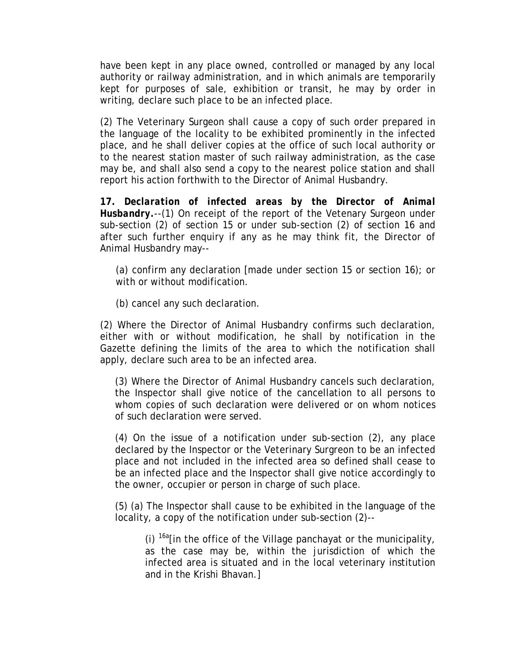have been kept in any place owned, controlled or managed by any local authority or railway administration, and in which animals are temporarily kept for purposes of sale, exhibition or transit, he may by order in writing, declare such place to be an infected place.

(2) The Veterinary Surgeon shall cause a copy of such order prepared in the language of the locality to be exhibited prominently in the infected place, and he shall deliver copies at the office of such local authority or to the nearest station master of such railway administration, as the case may be, and shall also send a copy to the nearest police station and shall report his action forthwith to the Director of Animal Husbandry.

**17.** *Declaration of infected areas by the Director of Animal Husbandry.-*-(1) On receipt of the report of the Vetenary Surgeon under sub-section (2) of section 15 or under sub-section (2) of section 16 and after such further enquiry if any as he may think fit, the Director of Animal Husbandry may--

(a) confirm any declaration [made under section 15 or section 16); or with or without modification.

(b) cancel any such declaration.

(2) Where the Director of Animal Husbandry confirms such declaration, either with or without modification, he shall by notification in the Gazette defining the limits of the area to which the notification shall apply, declare such area to be an infected area.

(3) Where the Director of Animal Husbandry cancels such declaration, the Inspector shall give notice of the cancellation to all persons to whom copies of such declaration were delivered or on whom notices of such declaration were served.

(4) On the issue of a notification under sub-section (2), any place declared by the Inspector or the Veterinary Surgreon to be an infected place and not included in the infected area so defined shall cease to be an infected place and the Inspector shall give notice accordingly to the owner, occupier or person in charge of such place.

(5) (a) The Inspector shall cause to be exhibited in the language of the locality, a copy of the notification under sub-section (2)--

(i)  $^{16a}$ [in the office of the Village panchayat or the municipality, as the case may be, within the jurisdiction of which the infected area is situated and in the local veterinary institution and in the Krishi Bhavan.]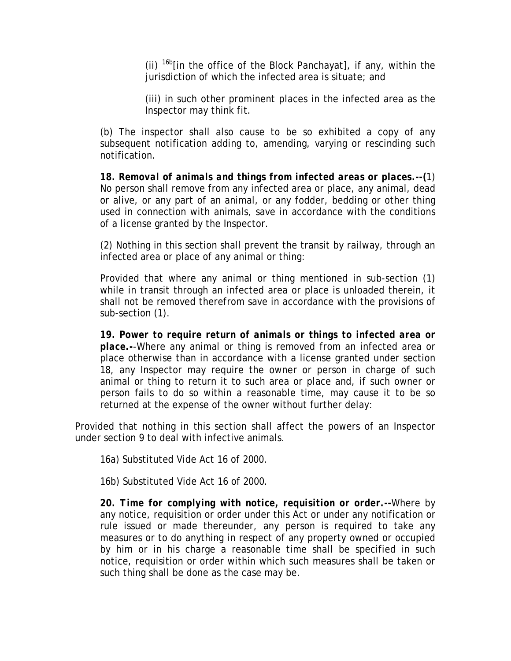(ii)  $16b$  [in the office of the Block Panchayat], if any, within the jurisdiction of which the infected area is situate; and

(iii) in such other prominent places in the infected area as the Inspector may think fit.

(b) The inspector shall also cause to be so exhibited a copy of any subsequent notification adding to, amending, varying or rescinding such notification.

**18.** *Removal of animals and things from infected areas or places***.--(**1) No person shall remove from any infected area or place, any animal, dead or alive, or any part of an animal, or any fodder, bedding or other thing used in connection with animals, save in accordance with the conditions of a license granted by the Inspector.

(2) Nothing in this section shall prevent the transit by railway, through an infected area or place of any animal or thing:

Provided that where any animal or thing mentioned in sub-section (1) while in transit through an infected area or place is unloaded therein, it shall not be removed therefrom save in accordance with the provisions of sub-section (1).

**19.** *Power to require return of animals or things to infected area or place.-*-Where any animal or thing is removed from an infected area or place otherwise than in accordance with a license granted under section 18, any Inspector may require the owner or person in charge of such animal or thing to return it to such area or place and, if such owner or person fails to do so within a reasonable time, may cause it to be so returned at the expense of the owner without further delay:

Provided that nothing in this section shall affect the powers of an Inspector under section 9 to deal with infective animals.

16a) Substituted Vide Act 16 of 2000.

16b) Substituted Vide Act 16 of 2000.

**20.** *Time for complying with notice, requisition or order***.--**Where by any notice, requisition or order under this Act or under any notification or rule issued or made thereunder, any person is required to take any measures or to do anything in respect of any property owned or occupied by him or in his charge a reasonable time shall be specified in such notice, requisition or order within which such measures shall be taken or such thing shall be done as the case may be.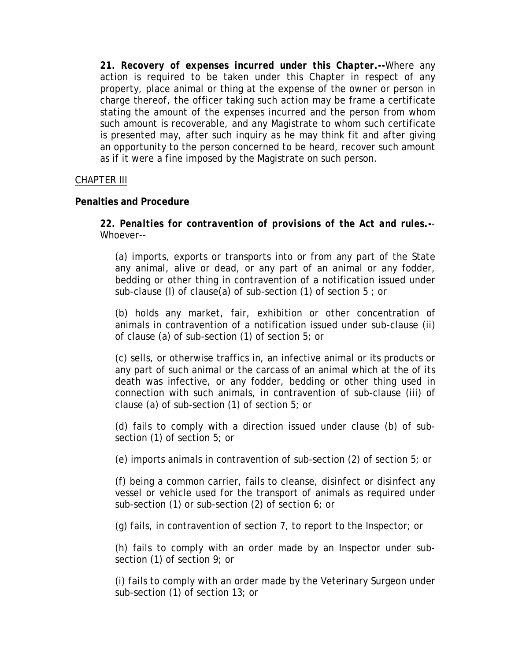**21.** *Recovery of expenses incurred under this Chapter.***--**Where any action is required to be taken under this Chapter in respect of any property, place animal or thing at the expense of the owner or person in charge thereof, the officer taking such action may be frame a certificate stating the amount of the expenses incurred and the person from whom such amount is recoverable, and any Magistrate to whom such certificate is presented may, after such inquiry as he may think fit and after giving an opportunity to the person concerned to be heard, recover such amount as if it were a fine imposed by the Magistrate on such person.

#### CHAPTER III

#### **Penalties and Procedure**

**22.** *Penalties for contravention of provisions of the Act and rules***.-**- Whoever--

(a) imports, exports or transports into or from any part of the State any animal, alive or dead, or any part of an animal or any fodder, bedding or other thing in contravention of a notification issued under sub-clause (I) of clause(a) of sub-section (1) of section 5 ; or

(b) holds any market, fair, exhibition or other concentration of animals in contravention of a notification issued under sub-clause (ii) of clause (a) of sub-section (1) of section 5; or

(c) sells, or otherwise traffics in, an infective animal or its products or any part of such animal or the carcass of an animal which at the of its death was infective, or any fodder, bedding or other thing used in connection with such animals, in contravention of sub-clause (iii) of clause (a) of sub-section (1) of section 5; or

(d) fails to comply with a direction issued under clause (b) of subsection (1) of section 5; or

(e) imports animals in contravention of sub-section (2) of section 5; or

(f) being a common carrier, fails to cleanse, disinfect or disinfect any vessel or vehicle used for the transport of animals as required under sub-section (1) or sub-section (2) of section 6; or

(g) fails, in contravention of section 7, to report to the Inspector; or

(h) fails to comply with an order made by an Inspector under subsection (1) of section 9; or

(i) fails to comply with an order made by the Veterinary Surgeon under sub-section (1) of section 13; or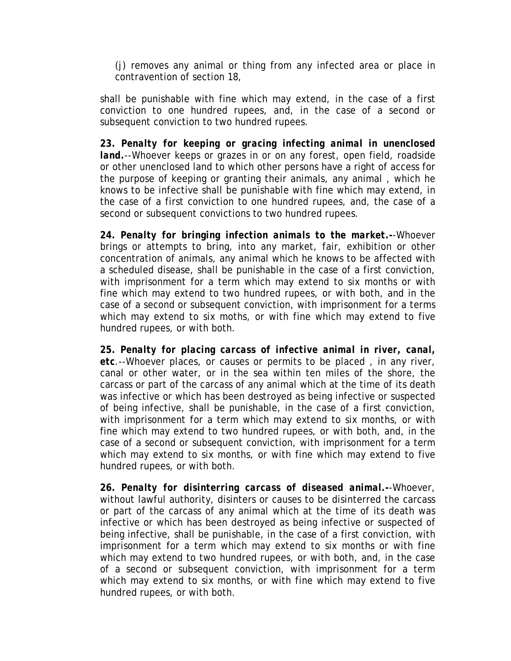(j) removes any animal or thing from any infected area or place in contravention of section 18,

shall be punishable with fine which may extend, in the case of a first conviction to one hundred rupees, and, in the case of a second or subsequent conviction to two hundred rupees.

**23.** *Penalty for keeping or gracing infecting animal in unenclosed land.*--Whoever keeps or grazes in or on any forest, open field, roadside or other unenclosed land to which other persons have a right of access for the purpose of keeping or granting their animals, any animal , which he knows to be infective shall be punishable with fine which may extend, in the case of a first conviction to one hundred rupees, and, the case of a second or subsequent convictions to two hundred rupees.

**24.** *Penalty for bringing infection animals to the market***.-**-Whoever brings or attempts to bring, into any market, fair, exhibition or other concentration of animals, any animal which he knows to be affected with a scheduled disease, shall be punishable in the case of a first conviction, with imprisonment for a term which may extend to six months or with fine which may extend to two hundred rupees, or with both, and in the case of a second or subsequent conviction, with imprisonment for a terms which may extend to six moths, or with fine which may extend to five hundred rupees, or with both.

**25.** *Penalty for placing carcass of infective animal in river, canal, etc.*--Whoever places, or causes or permits to be placed , in any river, canal or other water, or in the sea within ten miles of the shore, the carcass or part of the carcass of any animal which at the time of its death was infective or which has been destroyed as being infective or suspected of being infective, shall be punishable, in the case of a first conviction, with imprisonment for a term which may extend to six months, or with fine which may extend to two hundred rupees, or with both, and, in the case of a second or subsequent conviction, with imprisonment for a term which may extend to six months, or with fine which may extend to five hundred rupees, or with both.

**26.** *Penalty for disinterring carcass of diseased animal.***-**-Whoever, without lawful authority, disinters or causes to be disinterred the carcass or part of the carcass of any animal which at the time of its death was infective or which has been destroyed as being infective or suspected of being infective, shall be punishable, in the case of a first conviction, with imprisonment for a term which may extend to six months or with fine which may extend to two hundred rupees, or with both, and, in the case of a second or subsequent conviction, with imprisonment for a term which may extend to six months, or with fine which may extend to five hundred rupees, or with both.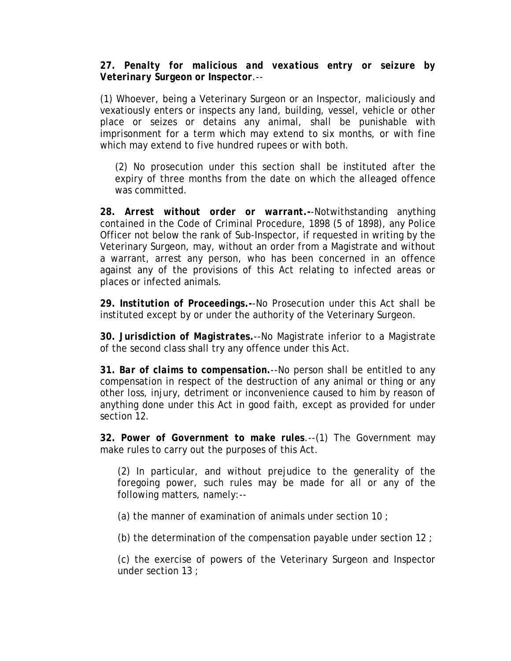## **27.** *Penalty for malicious and vexatious entry or seizure by Veterinary Surgeon or Inspector.*--

(1) Whoever, being a Veterinary Surgeon or an Inspector, maliciously and vexatiously enters or inspects any land, building, vessel, vehicle or other place or seizes or detains any animal, shall be punishable with imprisonment for a term which may extend to six months, or with fine which may extend to five hundred rupees or with both.

(2) No prosecution under this section shall be instituted after the expiry of three months from the date on which the alleaged offence was committed.

**28.** *Arrest without order or warrant***.-**-Notwithstanding anything contained in the Code of Criminal Procedure, 1898 (5 of 1898), any Police Officer not below the rank of Sub-Inspector, if requested in writing by the Veterinary Surgeon, may, without an order from a Magistrate and without a warrant, arrest any person, who has been concerned in an offence against any of the provisions of this Act relating to infected areas or places or infected animals.

**29.** *Institution of Proceedings***.-**-No Prosecution under this Act shall be instituted except by or under the authority of the Veterinary Surgeon.

**30.** *Jurisdiction of Magistrates***.**--No Magistrate inferior to a Magistrate of the second class shall try any offence under this Act.

**31.** *Bar of claims to compensation***.**--No person shall be entitled to any compensation in respect of the destruction of any animal or thing or any other loss, injury, detriment or inconvenience caused to him by reason of anything done under this Act in good faith, except as provided for under section 12.

**32.** *Power of Government to make rules*.--(1) The Government may make rules to carry out the purposes of this Act.

(2) In particular, and without prejudice to the generality of the foregoing power, such rules may be made for all or any of the following matters, namely:--

(a) the manner of examination of animals under section 10 ;

(b) the determination of the compensation payable under section 12 ;

(c) the exercise of powers of the Veterinary Surgeon and Inspector under section 13 ;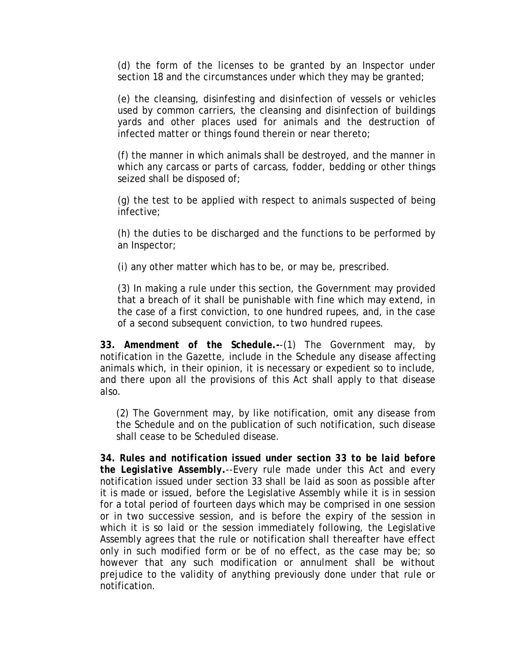(d) the form of the licenses to be granted by an Inspector under section 18 and the circumstances under which they may be granted;

(e) the cleansing, disinfesting and disinfection of vessels or vehicles used by common carriers, the cleansing and disinfection of buildings yards and other places used for animals and the destruction of infected matter or things found therein or near thereto;

(f) the manner in which animals shall be destroyed, and the manner in which any carcass or parts of carcass, fodder, bedding or other things seized shall be disposed of;

(g) the test to be applied with respect to animals suspected of being infective;

(h) the duties to be discharged and the functions to be performed by an Inspector;

(i) any other matter which has to be, or may be, prescribed.

(3) In making a rule under this section, the Government may provided that a breach of it shall be punishable with fine which may extend, in the case of a first conviction, to one hundred rupees, and, in the case of a second subsequent conviction, to two hundred rupees.

**33.** *Amendment of the Schedule***.-**-(1) The Government may, by notification in the Gazette, include in the Schedule any disease affecting animals which, in their opinion, it is necessary or expedient so to include, and there upon all the provisions of this Act shall apply to that disease also.

(2) The Government may, by like notification, omit any disease from the Schedule and on the publication of such notification, such disease shall cease to be Scheduled disease.

**34.** *Rules and notification issued under section 33 to be laid before the Legislative Assembly***.**--Every rule made under this Act and every notification issued under section 33 shall be laid as soon as possible after it is made or issued, before the Legislative Assembly while it is in session for a total period of fourteen days which may be comprised in one session or in two successive session, and is before the expiry of the session in which it is so laid or the session immediately following, the Legislative Assembly agrees that the rule or notification shall thereafter have effect only in such modified form or be of no effect, as the case may be; so however that any such modification or annulment shall be without prejudice to the validity of anything previously done under that rule or notification.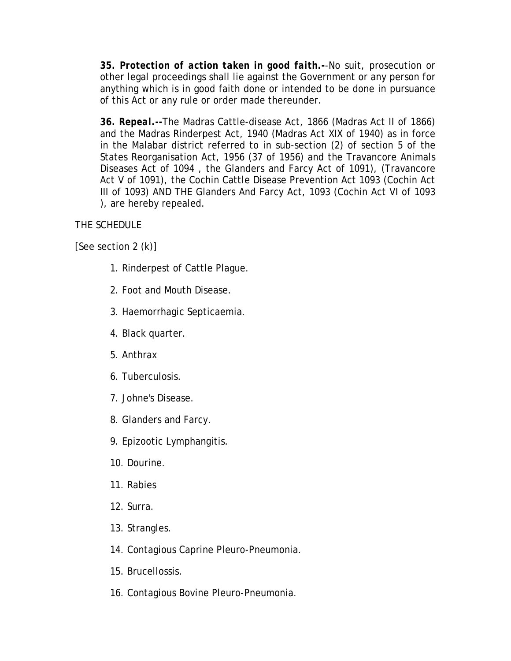**35.** *Protection of action taken in good faith***.-**-No suit, prosecution or other legal proceedings shall lie against the Government or any person for anything which is in good faith done or intended to be done in pursuance of this Act or any rule or order made thereunder.

**36.** *Repeal***.--**The Madras Cattle-disease Act, 1866 (Madras Act II of 1866) and the Madras Rinderpest Act, 1940 (Madras Act XIX of 1940) as in force in the Malabar district referred to in sub-section (2) of section 5 of the States Reorganisation Act, 1956 (37 of 1956) and the Travancore Animals Diseases Act of 1094 , the Glanders and Farcy Act of 1091), (Travancore Act V of 1091), the Cochin Cattle Disease Prevention Act 1093 (Cochin Act III of 1093) AND THE Glanders And Farcy Act, 1093 (Cochin Act VI of 1093 ), are hereby repealed.

# THE SCHEDULE

[See section 2 (k)]

- 1. Rinderpest of Cattle Plague.
- 2. Foot and Mouth Disease.
- 3. Haemorrhagic Septicaemia.
- 4. Black quarter.
- 5. Anthrax
- 6. Tuberculosis.
- 7. Johne's Disease.
- 8. Glanders and Farcy.
- 9. Epizootic Lymphangitis.
- 10. Dourine.
- 11. Rabies
- 12. Surra.
- 13. Strangles.
- 14. Contagious Caprine Pleuro-Pneumonia.
- 15. Brucellossis.
- 16. Contagious Bovine Pleuro-Pneumonia.